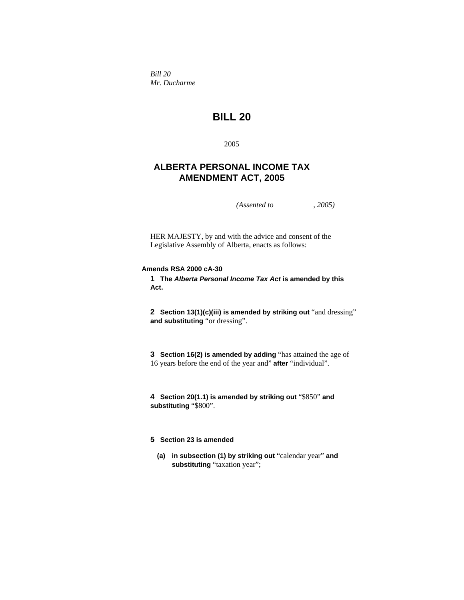*Bill 20 Mr. Ducharme* 

# **BILL 20**

2005

## **ALBERTA PERSONAL INCOME TAX AMENDMENT ACT, 2005**

*(Assented to , 2005)* 

HER MAJESTY, by and with the advice and consent of the Legislative Assembly of Alberta, enacts as follows:

#### **Amends RSA 2000 cA-30**

**1 The** *Alberta Personal Income Tax Act* **is amended by this Act.** 

**2 Section 13(1)(c)(iii) is amended by striking out** "and dressing" **and substituting** "or dressing".

**3 Section 16(2) is amended by adding** "has attained the age of 16 years before the end of the year and" **after** "individual".

**4 Section 20(1.1) is amended by striking out** "\$850" **and substituting** "\$800".

## **5 Section 23 is amended**

**(a) in subsection (1) by striking out** "calendar year" **and**  substituting "taxation year";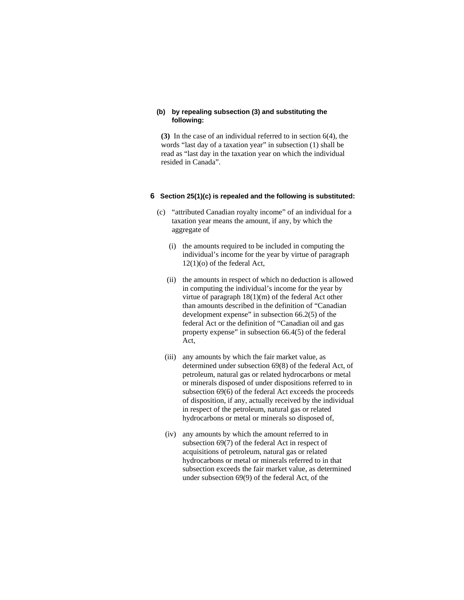#### **(b) by repealing subsection (3) and substituting the following:**

**(3)** In the case of an individual referred to in section 6(4), the words "last day of a taxation year" in subsection (1) shall be read as "last day in the taxation year on which the individual resided in Canada".

### **6 Section 25(1)(c) is repealed and the following is substituted:**

- (c) "attributed Canadian royalty income" of an individual for a taxation year means the amount, if any, by which the aggregate of
	- (i) the amounts required to be included in computing the individual's income for the year by virtue of paragraph 12(1)(o) of the federal Act,
	- (ii) the amounts in respect of which no deduction is allowed in computing the individual's income for the year by virtue of paragraph 18(1)(m) of the federal Act other than amounts described in the definition of "Canadian development expense" in subsection 66.2(5) of the federal Act or the definition of "Canadian oil and gas property expense" in subsection 66.4(5) of the federal Act,
	- (iii) any amounts by which the fair market value, as determined under subsection 69(8) of the federal Act, of petroleum, natural gas or related hydrocarbons or metal or minerals disposed of under dispositions referred to in subsection 69(6) of the federal Act exceeds the proceeds of disposition, if any, actually received by the individual in respect of the petroleum, natural gas or related hydrocarbons or metal or minerals so disposed of,
	- (iv) any amounts by which the amount referred to in subsection 69(7) of the federal Act in respect of acquisitions of petroleum, natural gas or related hydrocarbons or metal or minerals referred to in that subsection exceeds the fair market value, as determined under subsection 69(9) of the federal Act, of the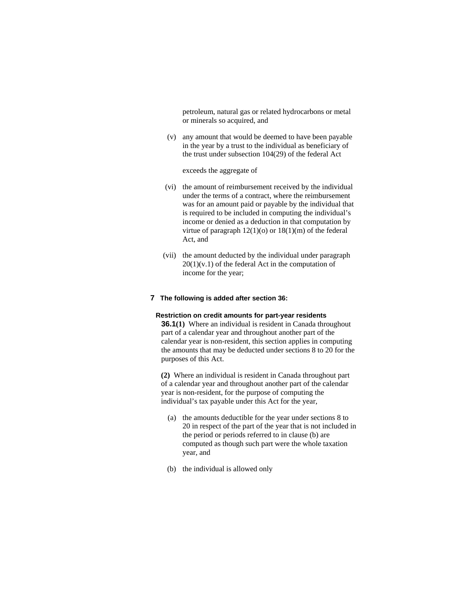petroleum, natural gas or related hydrocarbons or metal or minerals so acquired, and

 (v) any amount that would be deemed to have been payable in the year by a trust to the individual as beneficiary of the trust under subsection 104(29) of the federal Act

#### exceeds the aggregate of

- (vi) the amount of reimbursement received by the individual under the terms of a contract, where the reimbursement was for an amount paid or payable by the individual that is required to be included in computing the individual's income or denied as a deduction in that computation by virtue of paragraph  $12(1)(o)$  or  $18(1)(m)$  of the federal Act, and
- (vii) the amount deducted by the individual under paragraph  $20(1)(v.1)$  of the federal Act in the computation of income for the year;

#### **7 The following is added after section 36:**

#### **Restriction on credit amounts for part-year residents**

**36.1(1)** Where an individual is resident in Canada throughout part of a calendar year and throughout another part of the calendar year is non-resident, this section applies in computing the amounts that may be deducted under sections 8 to 20 for the purposes of this Act.

**(2)** Where an individual is resident in Canada throughout part of a calendar year and throughout another part of the calendar year is non-resident, for the purpose of computing the individual's tax payable under this Act for the year,

- (a) the amounts deductible for the year under sections 8 to 20 in respect of the part of the year that is not included in the period or periods referred to in clause (b) are computed as though such part were the whole taxation year, and
- (b) the individual is allowed only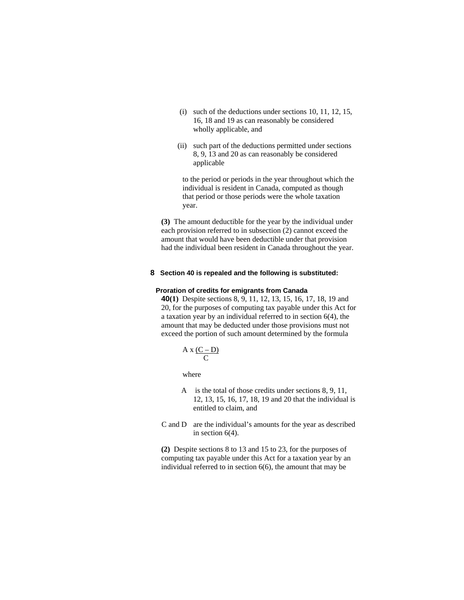- (i) such of the deductions under sections 10, 11, 12, 15, 16, 18 and 19 as can reasonably be considered wholly applicable, and
- (ii) such part of the deductions permitted under sections 8, 9, 13 and 20 as can reasonably be considered applicable

 to the period or periods in the year throughout which the individual is resident in Canada, computed as though that period or those periods were the whole taxation year.

**(3)** The amount deductible for the year by the individual under each provision referred to in subsection (2) cannot exceed the amount that would have been deductible under that provision had the individual been resident in Canada throughout the year.

#### **8 Section 40 is repealed and the following is substituted:**

#### **Proration of credits for emigrants from Canada**

**40(1)** Despite sections 8, 9, 11, 12, 13, 15, 16, 17, 18, 19 and 20, for the purposes of computing tax payable under this Act for a taxation year by an individual referred to in section 6(4), the amount that may be deducted under those provisions must not exceed the portion of such amount determined by the formula

$$
A x \frac{(C - D)}{C}
$$

where

- A is the total of those credits under sections 8, 9, 11, 12, 13, 15, 16, 17, 18, 19 and 20 that the individual is entitled to claim, and
- C and D are the individual's amounts for the year as described in section 6(4).

**(2)** Despite sections 8 to 13 and 15 to 23, for the purposes of computing tax payable under this Act for a taxation year by an individual referred to in section 6(6), the amount that may be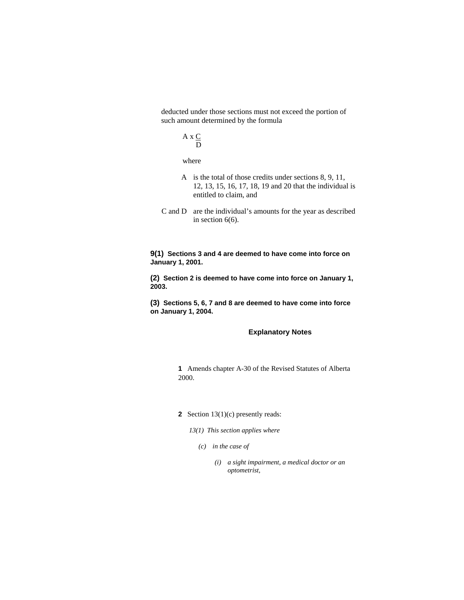deducted under those sections must not exceed the portion of such amount determined by the formula

$$
A \times \underline{C}
$$
  

$$
\underline{D}
$$

where

- A is the total of those credits under sections 8, 9, 11, 12, 13, 15, 16, 17, 18, 19 and 20 that the individual is entitled to claim, and
- C and D are the individual's amounts for the year as described in section 6(6).

**9(1) Sections 3 and 4 are deemed to have come into force on January 1, 2001.**

**(2) Section 2 is deemed to have come into force on January 1, 2003.**

**(3) Sections 5, 6, 7 and 8 are deemed to have come into force on January 1, 2004.** 

## **Explanatory Notes**

**1** Amends chapter A-30 of the Revised Statutes of Alberta 2000.

#### **2** Section 13(1)(c) presently reads:

*13(1) This section applies where* 

- *(c) in the case of* 
	- *(i) a sight impairment, a medical doctor or an optometrist,*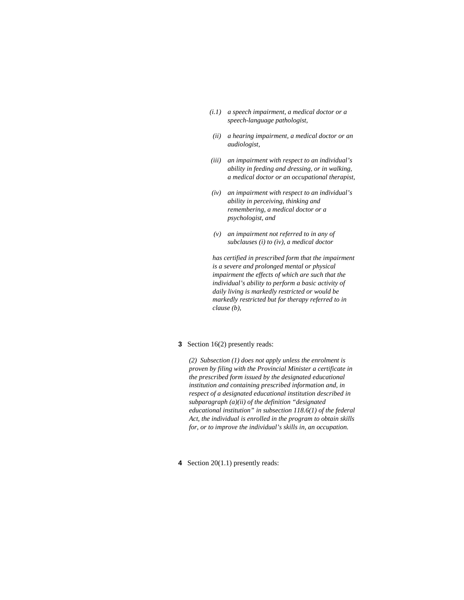- *(i.1) a speech impairment, a medical doctor or a speech-language pathologist,*
- *(ii) a hearing impairment, a medical doctor or an audiologist,*
- *(iii) an impairment with respect to an individual's ability in feeding and dressing, or in walking, a medical doctor or an occupational therapist,*
- *(iv) an impairment with respect to an individual's ability in perceiving, thinking and remembering, a medical doctor or a psychologist, and*
- *(v) an impairment not referred to in any of subclauses (i) to (iv), a medical doctor*

 *has certified in prescribed form that the impairment is a severe and prolonged mental or physical impairment the effects of which are such that the individual's ability to perform a basic activity of daily living is markedly restricted or would be markedly restricted but for therapy referred to in clause (b),* 

#### **3** Section 16(2) presently reads:

*(2) Subsection (1) does not apply unless the enrolment is proven by filing with the Provincial Minister a certificate in the prescribed form issued by the designated educational institution and containing prescribed information and, in respect of a designated educational institution described in subparagraph (a)(ii) of the definition "designated educational institution" in subsection 118.6(1) of the federal Act, the individual is enrolled in the program to obtain skills for, or to improve the individual's skills in, an occupation.* 

**4** Section 20(1.1) presently reads: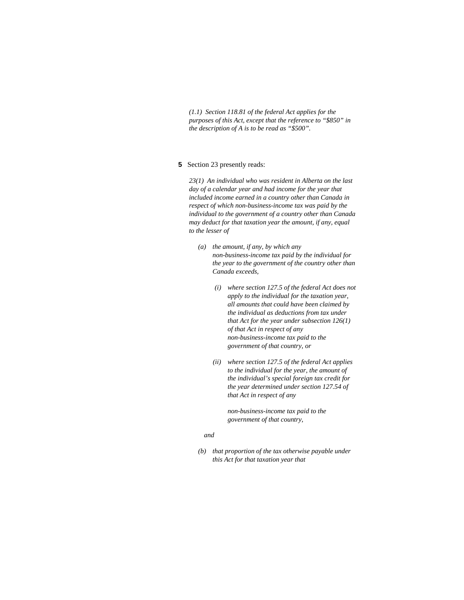*(1.1) Section 118.81 of the federal Act applies for the purposes of this Act, except that the reference to "\$850" in the description of A is to be read as "\$500".* 

#### **5** Section 23 presently reads:

*23(1) An individual who was resident in Alberta on the last day of a calendar year and had income for the year that included income earned in a country other than Canada in respect of which non-business-income tax was paid by the individual to the government of a country other than Canada may deduct for that taxation year the amount, if any, equal to the lesser of* 

- *(a) the amount, if any, by which any non-business-income tax paid by the individual for the year to the government of the country other than Canada exceeds,* 
	- *(i) where section 127.5 of the federal Act does not apply to the individual for the taxation year, all amounts that could have been claimed by the individual as deductions from tax under that Act for the year under subsection 126(1) of that Act in respect of any non-business-income tax paid to the government of that country, or*
	- *(ii) where section 127.5 of the federal Act applies to the individual for the year, the amount of the individual's special foreign tax credit for the year determined under section 127.54 of that Act in respect of any*

 *non-business-income tax paid to the government of that country,* 

#### *and*

 *(b) that proportion of the tax otherwise payable under this Act for that taxation year that*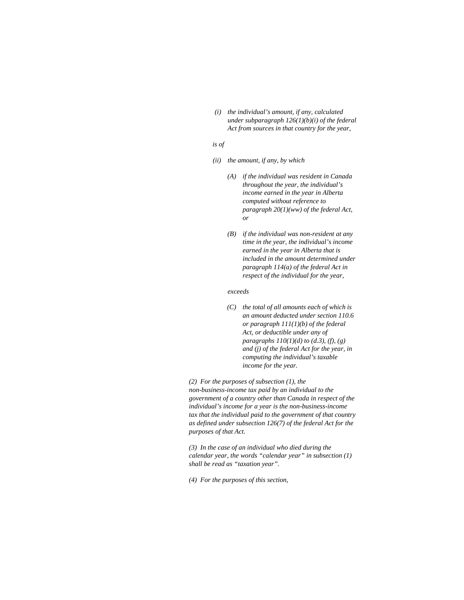*(i) the individual's amount, if any, calculated under subparagraph 126(1)(b)(i) of the federal Act from sources in that country for the year,* 

#### *is of*

- *(ii) the amount, if any, by which* 
	- *(A) if the individual was resident in Canada throughout the year, the individual's income earned in the year in Alberta computed without reference to paragraph 20(1)(ww) of the federal Act, or*
	- *(B) if the individual was non-resident at any time in the year, the individual's income earned in the year in Alberta that is included in the amount determined under paragraph 114(a) of the federal Act in respect of the individual for the year,*

#### *exceeds*

*(C) the total of all amounts each of which is an amount deducted under section 110.6 or paragraph 111(1)(b) of the federal Act, or deductible under any of paragraphs 110(1)(d) to (d.3), (f), (g) and (j) of the federal Act for the year, in computing the individual's taxable income for the year.* 

*(2) For the purposes of subsection (1), the non-business-income tax paid by an individual to the government of a country other than Canada in respect of the individual's income for a year is the non-business-income tax that the individual paid to the government of that country as defined under subsection 126(7) of the federal Act for the purposes of that Act.* 

*(3) In the case of an individual who died during the calendar year, the words "calendar year" in subsection (1) shall be read as "taxation year".* 

*(4) For the purposes of this section,*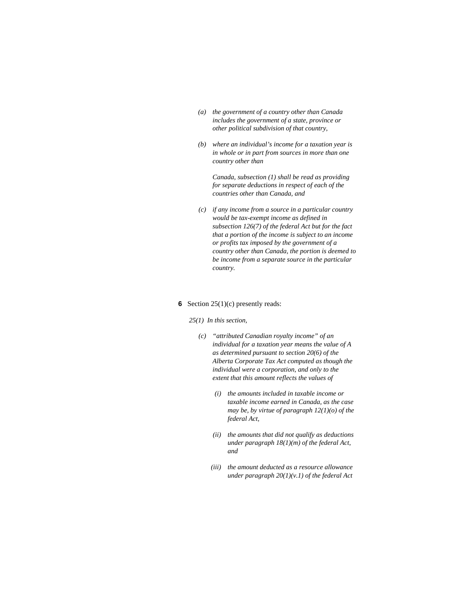- *(a) the government of a country other than Canada includes the government of a state, province or other political subdivision of that country,*
- *(b) where an individual's income for a taxation year is in whole or in part from sources in more than one country other than*

 *Canada, subsection (1) shall be read as providing for separate deductions in respect of each of the countries other than Canada, and* 

*(c) if any income from a source in a particular country would be tax-exempt income as defined in subsection 126(7) of the federal Act but for the fact that a portion of the income is subject to an income or profits tax imposed by the government of a country other than Canada, the portion is deemed to be income from a separate source in the particular country.* 

#### **6** Section 25(1)(c) presently reads:

*25(1) In this section,* 

- *(c) "attributed Canadian royalty income" of an individual for a taxation year means the value of A as determined pursuant to section 20(6) of the Alberta Corporate Tax Act computed as though the individual were a corporation, and only to the extent that this amount reflects the values of* 
	- *(i) the amounts included in taxable income or taxable income earned in Canada, as the case may be, by virtue of paragraph 12(1)(o) of the federal Act,*
	- *(ii) the amounts that did not qualify as deductions under paragraph 18(1)(m) of the federal Act, and*
	- *(iii) the amount deducted as a resource allowance under paragraph 20(1)(v.1) of the federal Act*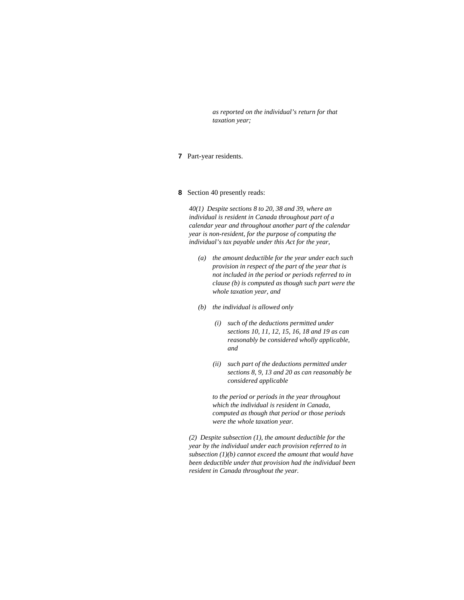*as reported on the individual's return for that taxation year;* 

- **7** Part-year residents.
- **8** Section 40 presently reads:

*40(1) Despite sections 8 to 20, 38 and 39, where an individual is resident in Canada throughout part of a calendar year and throughout another part of the calendar year is non-resident, for the purpose of computing the individual's tax payable under this Act for the year,* 

- *(a) the amount deductible for the year under each such provision in respect of the part of the year that is not included in the period or periods referred to in clause (b) is computed as though such part were the whole taxation year, and*
- *(b) the individual is allowed only* 
	- *(i) such of the deductions permitted under sections 10, 11, 12, 15, 16, 18 and 19 as can reasonably be considered wholly applicable, and*
	- *(ii) such part of the deductions permitted under sections 8, 9, 13 and 20 as can reasonably be considered applicable*

 *to the period or periods in the year throughout which the individual is resident in Canada, computed as though that period or those periods were the whole taxation year.* 

*(2) Despite subsection (1), the amount deductible for the year by the individual under each provision referred to in subsection (1)(b) cannot exceed the amount that would have been deductible under that provision had the individual been resident in Canada throughout the year.*